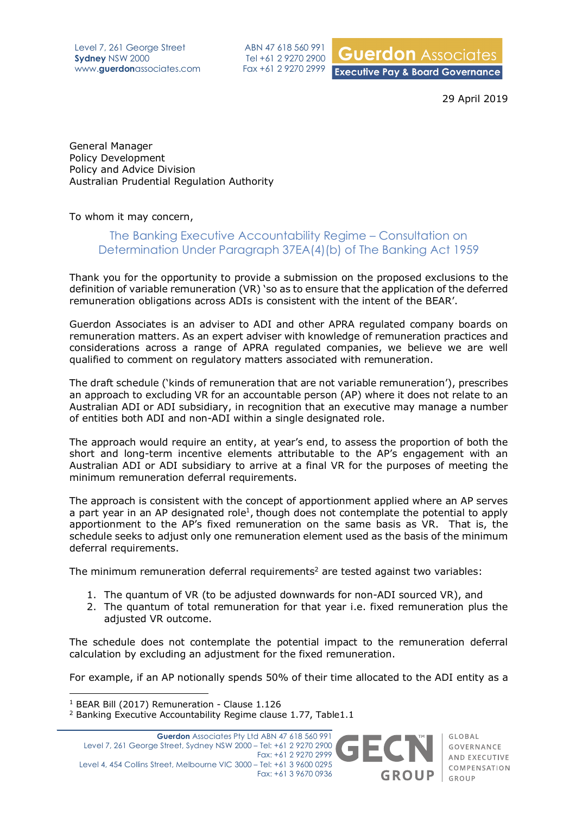Level 7, 261 George Street **Sydney** NSW 2000 www.**guerdon**associates.com

ABN 47 618 560 991 Tel +61 2 9270 2900 Fax +61 2 9270 2999

**Guerdon** Associates **Executive Pay & Board Governance** 

29 April 2019

General Manager Policy Development Policy and Advice Division Australian Prudential Regulation Authority

To whom it may concern,

## The Banking Executive Accountability Regime – Consultation on Determination Under Paragraph 37EA(4)(b) of The Banking Act 1959

Thank you for the opportunity to provide a submission on the proposed exclusions to the definition of variable remuneration (VR) 'so as to ensure that the application of the deferred remuneration obligations across ADIs is consistent with the intent of the BEAR'.

Guerdon Associates is an adviser to ADI and other APRA regulated company boards on remuneration matters. As an expert adviser with knowledge of remuneration practices and considerations across a range of APRA regulated companies, we believe we are well qualified to comment on regulatory matters associated with remuneration.

The draft schedule ('kinds of remuneration that are not variable remuneration'), prescribes an approach to excluding VR for an accountable person (AP) where it does not relate to an Australian ADI or ADI subsidiary, in recognition that an executive may manage a number of entities both ADI and non-ADI within a single designated role.

The approach would require an entity, at year's end, to assess the proportion of both the short and long-term incentive elements attributable to the AP's engagement with an Australian ADI or ADI subsidiary to arrive at a final VR for the purposes of meeting the minimum remuneration deferral requirements.

The approach is consistent with the concept of apportionment applied where an AP serves a part year in an AP designated role<sup>1</sup>, though does not contemplate the potential to apply apportionment to the AP's fixed remuneration on the same basis as VR. That is, the schedule seeks to adjust only one remuneration element used as the basis of the minimum deferral requirements.

The minimum remuneration deferral requirements<sup>2</sup> are tested against two variables:

- 1. The quantum of VR (to be adjusted downwards for non-ADI sourced VR), and
- 2. The quantum of total remuneration for that year i.e. fixed remuneration plus the adjusted VR outcome.

The schedule does not contemplate the potential impact to the remuneration deferral calculation by excluding an adjustment for the fixed remuneration.

For example, if an AP notionally spends 50% of their time allocated to the ADI entity as a

 $\overline{a}$ 

<sup>&</sup>lt;sup>1</sup> BEAR Bill (2017) Remuneration - Clause 1.126

<sup>2</sup> Banking Executive Accountability Regime clause 1.77, Table1.1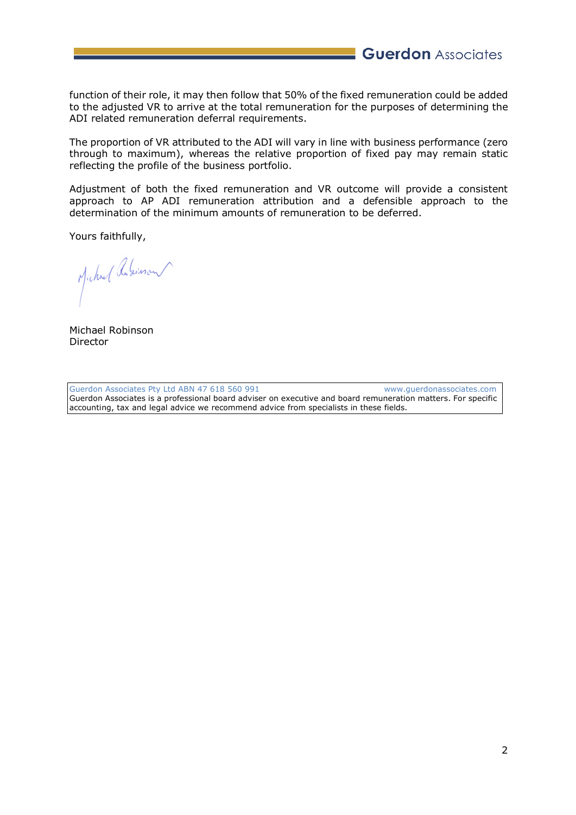**Guerdon** Associates

function of their role, it may then follow that 50% of the fixed remuneration could be added to the adjusted VR to arrive at the total remuneration for the purposes of determining the ADI related remuneration deferral requirements.

The proportion of VR attributed to the ADI will vary in line with business performance (zero through to maximum), whereas the relative proportion of fixed pay may remain static reflecting the profile of the business portfolio.

Adjustment of both the fixed remuneration and VR outcome will provide a consistent approach to AP ADI remuneration attribution and a defensible approach to the determination of the minimum amounts of remuneration to be deferred.

Yours faithfully,

Michael Redision

Michael Robinson Director

Guerdon Associates Pty Ltd ABN 47 618 560 991 www.querdonassociates.com Guerdon Associates is a professional board adviser on executive and board remuneration matters. For specific accounting, tax and legal advice we recommend advice from specialists in these fields.